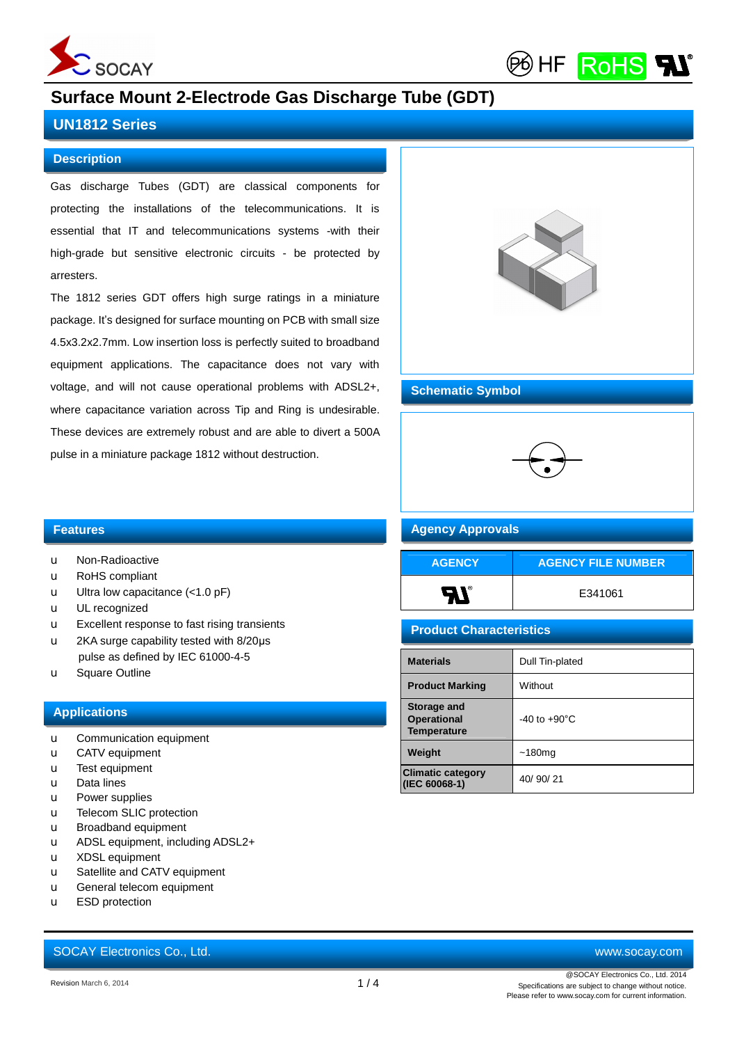

(P6) HF **RoHS** 

# **Surface Mount 2-Electrode Gas Discharge Tube (GDT)**

### **UN1812 Series**

#### **Description**

Gas discharge Tubes (GDT) are classical components for protecting the installations of the telecommunications. It is essential that IT and telecommunications systems -with their high-grade but sensitive electronic circuits - be protected by arresters.

The 1812 series GDT offers high surge ratings in a miniature package. It's designed for surface mounting on PCB with small size 4.5x3.2x2.7mm. Low insertion loss is perfectly suited to broadband equipment applications. The capacitance does not vary with voltage, and will not cause operational problems with ADSL2+, where capacitance variation across Tip and Ring is undesirable. These devices are extremely robust and are able to divert a 500A pulse in a miniature package 1812 without destruction.



#### **Schematic Symbol**



#### **Agency Approvals**

| <b>AGENCY</b>  | <b>AGENCY FILE NUMBER</b> |
|----------------|---------------------------|
| $\blacksquare$ | E341061                   |

#### **Product Characteristics**

| <b>Materials</b>                                        | Dull Tin-plated          |
|---------------------------------------------------------|--------------------------|
| <b>Product Marking</b>                                  | Without                  |
| Storage and<br><b>Operational</b><br><b>Temperature</b> | $-40$ to $+90^{\circ}$ C |
| Weight                                                  | ~180 <sub>mg</sub>       |
| <b>Climatic category</b><br>(IEC 60068-1)               | 40/90/21                 |

#### **Features**

- u Non-Radioactive
- u RoHS compliant
- $u$  Ultra low capacitance  $(<1.0 \text{ pF})$
- u UL recognized
- u Excellent response to fast rising transients
- u 2KA surge capability tested with 8/20μs pulse as defined by IEC 61000-4-5
- u Square Outline

#### **Applications**

- u Communication equipment
- u CATV equipment
- u Test equipment
- u Data lines
- u Power supplies
- u Telecom SLIC protection
- u Broadband equipment
- u ADSL equipment, including ADSL2+
- u XDSL equipment
- u Satellite and CATV equipment
- u General telecom equipment
- u ESD protection

# SOCAY Electronics Co., Ltd. [www.socay.com](http://www.socay.com)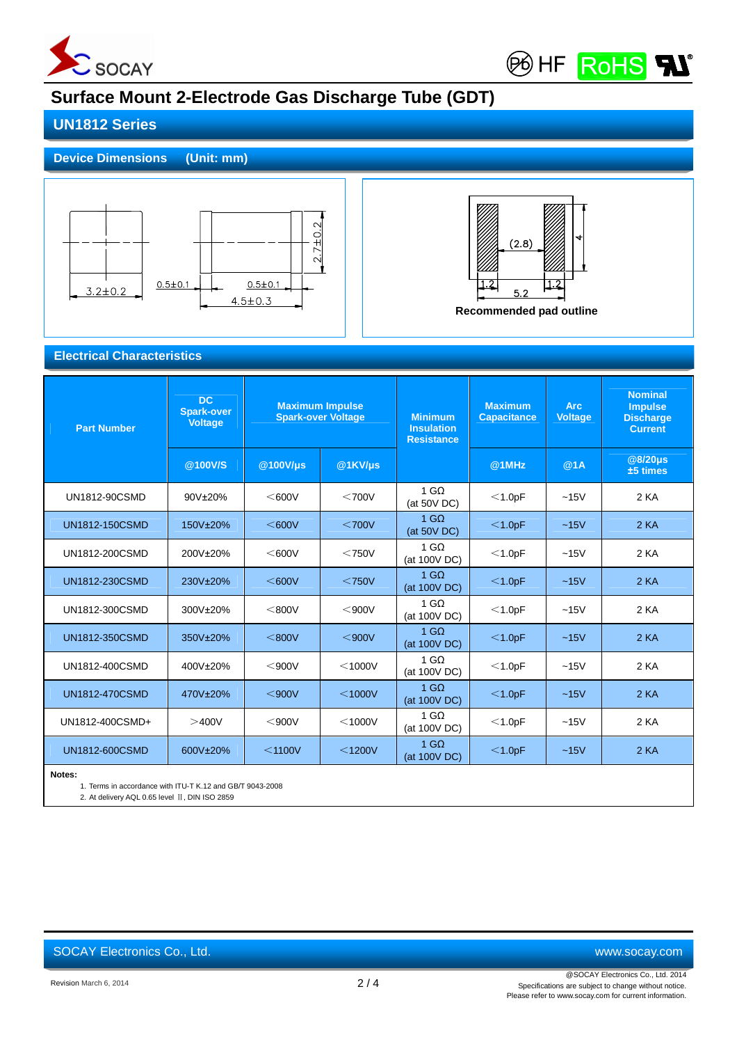

**BOHF ROHS** 

# **Surface Mount 2-Electrode Gas Discharge Tube (GDT)**

## **UN1812 Series**

### **Device Dimensions (Unit: mm)**





**Electrical Characteristics**

| <b>Part Number</b>    | <b>DC</b><br><b>Spark-over</b><br><b>Voltage</b> | <b>Maximum Impulse</b><br><b>Spark-over Voltage</b> |              | <b>Minimum</b><br><b>Insulation</b><br><b>Resistance</b> | <b>Maximum</b><br><b>Capacitance</b> | <b>Arc</b><br><b>Voltage</b> | <b>Nominal</b><br><b>Impulse</b><br><b>Discharge</b><br><b>Current</b> |
|-----------------------|--------------------------------------------------|-----------------------------------------------------|--------------|----------------------------------------------------------|--------------------------------------|------------------------------|------------------------------------------------------------------------|
|                       | @100V/S                                          | @100V/µs                                            | $@1KVI\mu s$ |                                                          | @1MHz                                | @1A                          | @8/20µs<br>±5 times                                                    |
| UN1812-90CSMD         | 90V±20%                                          | $<$ 600V                                            | $<$ 700 $V$  | $1 \text{ G}\Omega$<br>(at 50V DC)                       | $<$ 1.0pF                            | ~15V                         | 2 KA                                                                   |
| UN1812-150CSMD        | 150V±20%                                         | $<\,600V$                                           | $<$ 700 $V$  | $1 \text{ G}\Omega$<br>(at 50V DC)                       | $<$ 1.0pF                            | ~15V                         | 2 KA                                                                   |
| UN1812-200CSMD        | 200V±20%                                         | $<$ 600V                                            | $<$ 750 $V$  | $1 \text{ G}\Omega$<br>(at 100V DC)                      | $<$ 1.0pF                            | ~15V                         | 2 KA                                                                   |
| UN1812-230CSMD        | 230V±20%                                         | $<$ 600 $V$                                         | $<$ 750V     | $1 \text{ G}\Omega$<br>(at 100V DC)                      | $<$ 1.0pF                            | $-15V$                       | 2 KA                                                                   |
| UN1812-300CSMD        | 300V±20%                                         | $<$ 800V                                            | $<$ 900 $V$  | $1 \text{ G}\Omega$<br>(at 100V DC)                      | $<$ 1.0pF                            | $-15V$                       | 2 KA                                                                   |
| UN1812-350CSMD        | 350V±20%                                         | $<$ 800V                                            | $<$ 900 $V$  | $1 \text{ G}\Omega$<br>(at 100V DC)                      | $<$ 1.0pF                            | $-15V$                       | 2 KA                                                                   |
| UN1812-400CSMD        | 400V±20%                                         | $<$ 900V                                            | $<$ 1000V    | $1 \text{ G}\Omega$<br>(at 100V DC)                      | $<$ 1.0pF                            | $-15V$                       | 2 KA                                                                   |
| <b>UN1812-470CSMD</b> | 470V±20%                                         | $<$ 900V                                            | $<$ 1000V    | $1 \text{ G}\Omega$<br>(at 100V DC)                      | $<$ 1.0pF                            | $-15V$                       | 2 KA                                                                   |
| UN1812-400CSMD+       | >400V                                            | $<$ 900V                                            | $<$ 1000V    | $1 \text{ G}\Omega$<br>(at 100V DC)                      | $<$ 1.0pF                            | $-15V$                       | 2 KA                                                                   |
| UN1812-600CSMD        | 600V±20%                                         | $<$ 1100V                                           | $<$ 1200V    | $1 \text{ G}\Omega$<br>(at 100V DC)                      | $<$ 1.0pF                            | ~15V                         | 2 KA                                                                   |
| Notes:                |                                                  |                                                     |              |                                                          |                                      |                              |                                                                        |

1. Terms in accordance with ITU-T K.12 and GB/T 9043-2008

2. At delivery AQL 0.65 level Ⅱ, DIN ISO 2859

SOCAY Electronics Co., Ltd. [www.socay.com](http://www.socay.com)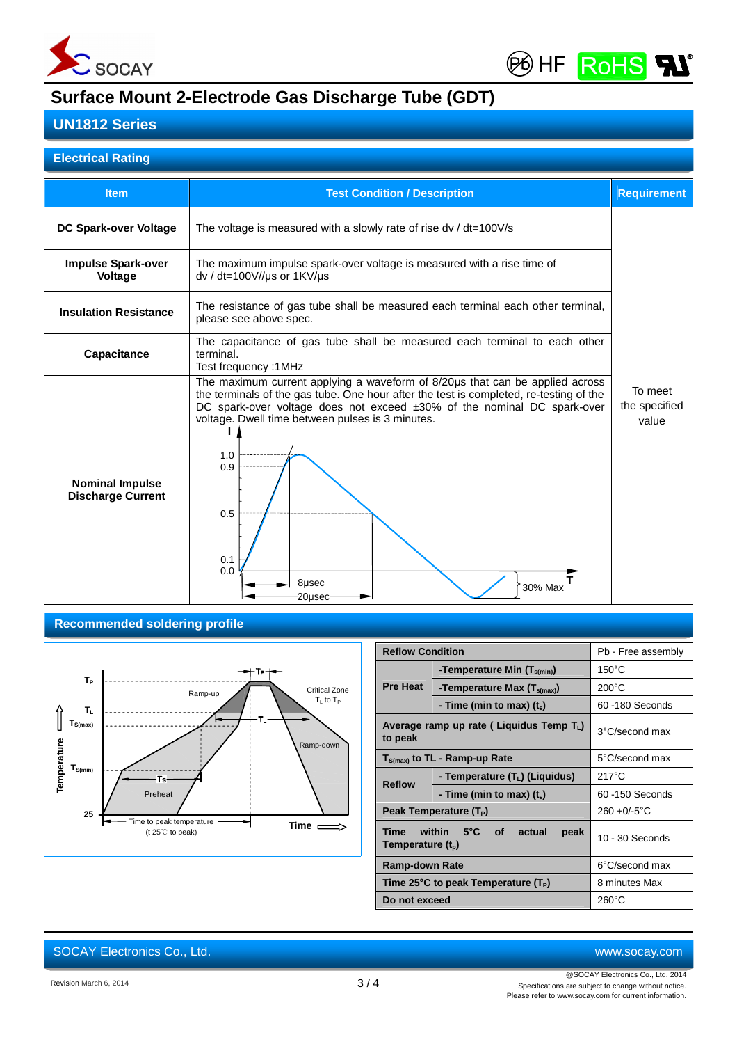



# **Surface Mount 2-Electrode Gas Discharge Tube (GDT)**

## **UN1812 Series**

#### **Electrical Rating**

| <b>Item</b>                                        | <b>Test Condition / Description</b>                                                                                                                                                                                                                                                                                                                                    | <b>Requirement</b> |
|----------------------------------------------------|------------------------------------------------------------------------------------------------------------------------------------------------------------------------------------------------------------------------------------------------------------------------------------------------------------------------------------------------------------------------|--------------------|
| DC Spark-over Voltage                              | The voltage is measured with a slowly rate of rise $dv / dt = 100V/s$                                                                                                                                                                                                                                                                                                  |                    |
| <b>Impulse Spark-over</b><br>Voltage               | The maximum impulse spark-over voltage is measured with a rise time of<br>dv / dt=100V//us or 1KV/us                                                                                                                                                                                                                                                                   |                    |
| <b>Insulation Resistance</b>                       | The resistance of gas tube shall be measured each terminal each other terminal,<br>please see above spec.                                                                                                                                                                                                                                                              |                    |
| Capacitance                                        | The capacitance of gas tube shall be measured each terminal to each other<br>terminal.<br>Test frequency: 1MHz                                                                                                                                                                                                                                                         |                    |
| <b>Nominal Impulse</b><br><b>Discharge Current</b> | The maximum current applying a waveform of 8/20µs that can be applied across<br>the terminals of the gas tube. One hour after the test is completed, re-testing of the<br>DC spark-over voltage does not exceed ±30% of the nominal DC spark-over<br>voltage. Dwell time between pulses is 3 minutes.<br>1.0<br>0.9<br>0.5<br>0.1<br>0.0<br>8usec<br>30% Max<br>20usec |                    |

#### **Recommended soldering profile**



|                                                                                           | <b>Reflow Condition</b><br>Pb - Free assembly    |                   |  |
|-------------------------------------------------------------------------------------------|--------------------------------------------------|-------------------|--|
|                                                                                           | -Temperature Min $(T_{s(min)})$                  | $150^{\circ}$ C   |  |
| <b>Pre Heat</b>                                                                           | -Temperature Max (T <sub>s(max)</sub> )          | $200^{\circ}$ C   |  |
|                                                                                           | - Time (min to max) $(t_s)$                      | 60 -180 Seconds   |  |
| Average ramp up rate (Liquidus Temp $T_L$ )<br>to peak                                    |                                                  | 3°C/second max    |  |
|                                                                                           | $T_{S(max)}$ to TL - Ramp-up Rate                | 5°C/second max    |  |
| - Temperature (T <sub>L</sub> ) (Liquidus)<br><b>Reflow</b><br>- Time (min to max) $(ts)$ |                                                  | $217^{\circ}$ C   |  |
|                                                                                           |                                                  | 60-150 Seconds    |  |
|                                                                                           | Peak Temperature (T <sub>P</sub> )               | $260 + 0/-5$ °C   |  |
| <b>Time</b><br>Temperature $(t_{p})$                                                      | $-5^{\circ}$ C<br>within<br>of<br>actual<br>peak | $10 - 30$ Seconds |  |
| <b>Ramp-down Rate</b>                                                                     |                                                  | 6°C/second max    |  |
| Time 25°C to peak Temperature $(T_P)$                                                     |                                                  | 8 minutes Max     |  |
| Do not exceed                                                                             |                                                  | $260^{\circ}$ C   |  |

# SOCAY Electronics Co., Ltd. [www.socay.com](http://www.socay.com)